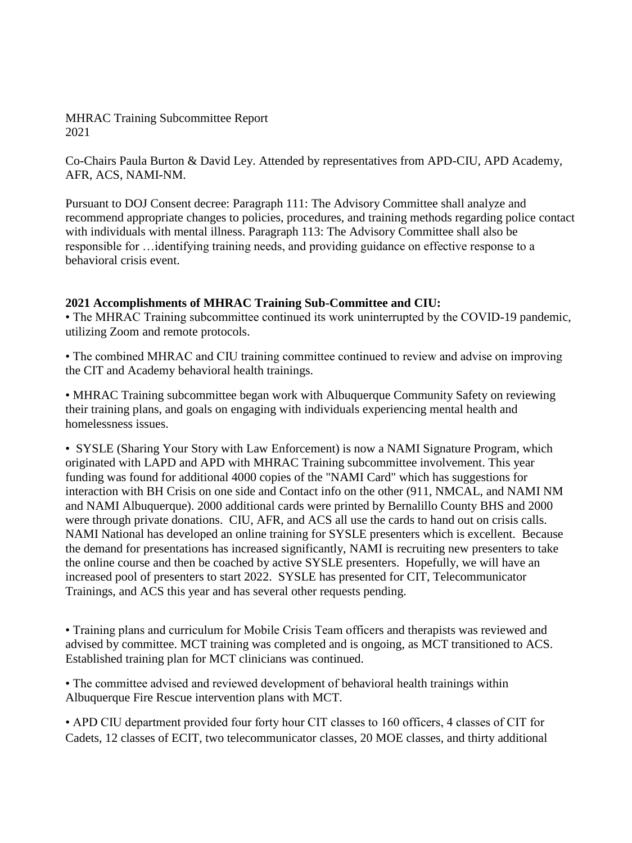MHRAC Training Subcommittee Report 2021

Co-Chairs Paula Burton & David Ley. Attended by representatives from APD-CIU, APD Academy, AFR, ACS, NAMI-NM.

Pursuant to DOJ Consent decree: Paragraph 111: The Advisory Committee shall analyze and recommend appropriate changes to policies, procedures, and training methods regarding police contact with individuals with mental illness. Paragraph 113: The Advisory Committee shall also be responsible for …identifying training needs, and providing guidance on effective response to a behavioral crisis event.

## **2021 Accomplishments of MHRAC Training Sub-Committee and CIU:**

• The MHRAC Training subcommittee continued its work uninterrupted by the COVID-19 pandemic, utilizing Zoom and remote protocols.

• The combined MHRAC and CIU training committee continued to review and advise on improving the CIT and Academy behavioral health trainings.

• MHRAC Training subcommittee began work with Albuquerque Community Safety on reviewing their training plans, and goals on engaging with individuals experiencing mental health and homelessness issues.

• SYSLE (Sharing Your Story with Law Enforcement) is now a NAMI Signature Program, which originated with LAPD and APD with MHRAC Training subcommittee involvement. This year funding was found for additional 4000 copies of the "NAMI Card" which has suggestions for interaction with BH Crisis on one side and Contact info on the other (911, NMCAL, and NAMI NM and NAMI Albuquerque). 2000 additional cards were printed by Bernalillo County BHS and 2000 were through private donations. CIU, AFR, and ACS all use the cards to hand out on crisis calls. NAMI National has developed an online training for SYSLE presenters which is excellent. Because the demand for presentations has increased significantly, NAMI is recruiting new presenters to take the online course and then be coached by active SYSLE presenters. Hopefully, we will have an increased pool of presenters to start 2022. SYSLE has presented for CIT, Telecommunicator Trainings, and ACS this year and has several other requests pending.

• Training plans and curriculum for Mobile Crisis Team officers and therapists was reviewed and advised by committee. MCT training was completed and is ongoing, as MCT transitioned to ACS. Established training plan for MCT clinicians was continued.

• The committee advised and reviewed development of behavioral health trainings within Albuquerque Fire Rescue intervention plans with MCT.

• APD CIU department provided four forty hour CIT classes to 160 officers, 4 classes of CIT for Cadets, 12 classes of ECIT, two telecommunicator classes, 20 MOE classes, and thirty additional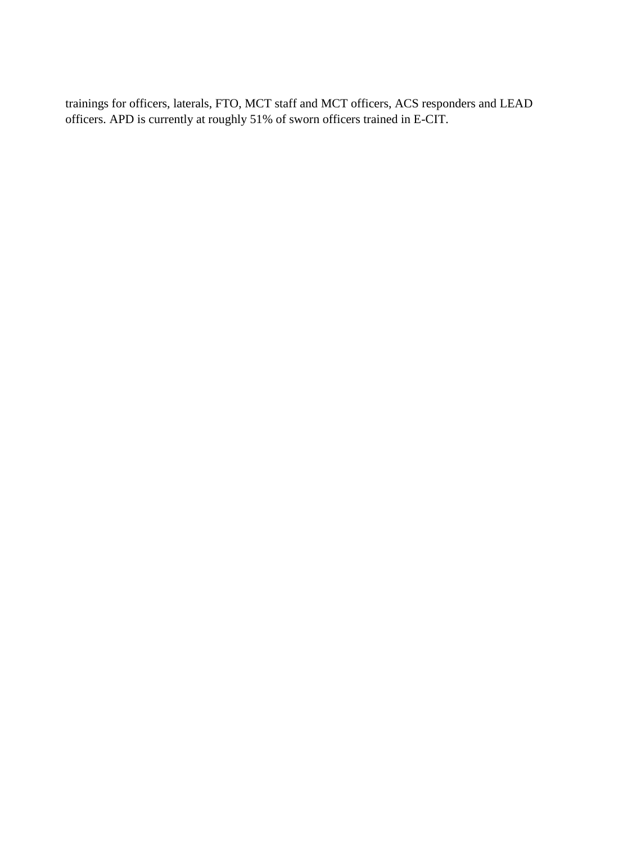trainings for officers, laterals, FTO, MCT staff and MCT officers, ACS responders and LEAD officers. APD is currently at roughly 51% of sworn officers trained in E-CIT.